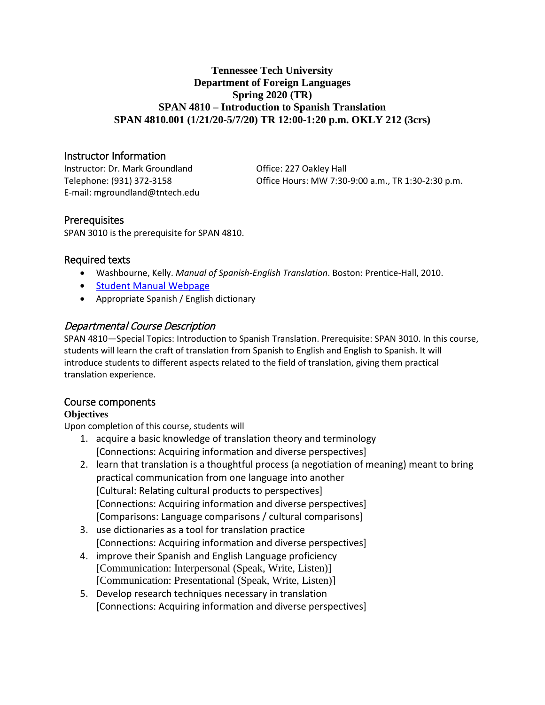## **Tennessee Tech University Department of Foreign Languages Spring 2020 (TR) SPAN 4810 – Introduction to Spanish Translation SPAN 4810.001 (1/21/20-5/7/20) TR 12:00-1:20 p.m. OKLY 212 (3crs)**

# Instructor Information

Instructor: Dr. Mark Groundland **Office: 227 Oakley Hall** E-mail: mgroundland@tntech.edu

Telephone: (931) 372-3158 Office Hours: MW 7:30-9:00 a.m., TR 1:30-2:30 p.m.

# **Prerequisites**

SPAN 3010 is the prerequisite for SPAN 4810.

# Required texts

- Washbourne, Kelly. *Manual of Spanish-English Translation*. Boston: Prentice-Hall, 2010.
- [Student Manual Webpage](http://wps.prenhall.com/wl_washbourne_manual_1/)
- Appropriate Spanish / English dictionary

# Departmental Course Description

SPAN 4810—Special Topics: Introduction to Spanish Translation. Prerequisite: SPAN 3010. In this course, students will learn the craft of translation from Spanish to English and English to Spanish. It will introduce students to different aspects related to the field of translation, giving them practical translation experience.

## Course components

## **Objectives**

Upon completion of this course, students will

- 1. acquire a basic knowledge of translation theory and terminology [Connections: Acquiring information and diverse perspectives]
- 2. learn that translation is a thoughtful process (a negotiation of meaning) meant to bring practical communication from one language into another [Cultural: Relating cultural products to perspectives] [Connections: Acquiring information and diverse perspectives] [Comparisons: Language comparisons / cultural comparisons]
- 3. use dictionaries as a tool for translation practice [Connections: Acquiring information and diverse perspectives]
- 4. improve their Spanish and English Language proficiency [Communication: Interpersonal (Speak, Write, Listen)] [Communication: Presentational (Speak, Write, Listen)]
- 5. Develop research techniques necessary in translation [Connections: Acquiring information and diverse perspectives]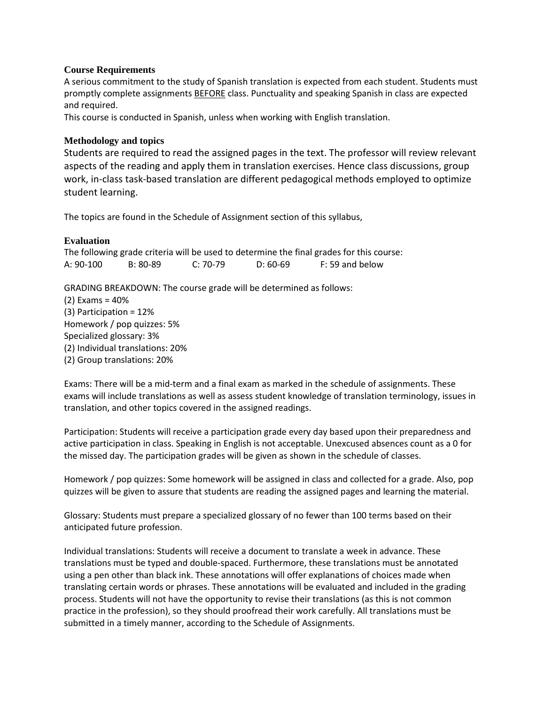#### **Course Requirements**

A serious commitment to the study of Spanish translation is expected from each student. Students must promptly complete assignments BEFORE class. Punctuality and speaking Spanish in class are expected and required.

This course is conducted in Spanish, unless when working with English translation.

#### **Methodology and topics**

Students are required to read the assigned pages in the text. The professor will review relevant aspects of the reading and apply them in translation exercises. Hence class discussions, group work, in-class task-based translation are different pedagogical methods employed to optimize student learning.

The topics are found in the Schedule of Assignment section of this syllabus,

#### **Evaluation**

The following grade criteria will be used to determine the final grades for this course: A: 90-100 B: 80-89 C: 70-79 D: 60-69 F: 59 and below

GRADING BREAKDOWN: The course grade will be determined as follows:

(2) Exams = 40% (3) Participation = 12% Homework / pop quizzes: 5% Specialized glossary: 3% (2) Individual translations: 20% (2) Group translations: 20%

Exams: There will be a mid-term and a final exam as marked in the schedule of assignments. These exams will include translations as well as assess student knowledge of translation terminology, issues in translation, and other topics covered in the assigned readings.

Participation: Students will receive a participation grade every day based upon their preparedness and active participation in class. Speaking in English is not acceptable. Unexcused absences count as a 0 for the missed day. The participation grades will be given as shown in the schedule of classes.

Homework / pop quizzes: Some homework will be assigned in class and collected for a grade. Also, pop quizzes will be given to assure that students are reading the assigned pages and learning the material.

Glossary: Students must prepare a specialized glossary of no fewer than 100 terms based on their anticipated future profession.

Individual translations: Students will receive a document to translate a week in advance. These translations must be typed and double-spaced. Furthermore, these translations must be annotated using a pen other than black ink. These annotations will offer explanations of choices made when translating certain words or phrases. These annotations will be evaluated and included in the grading process. Students will not have the opportunity to revise their translations (as this is not common practice in the profession), so they should proofread their work carefully. All translations must be submitted in a timely manner, according to the Schedule of Assignments.